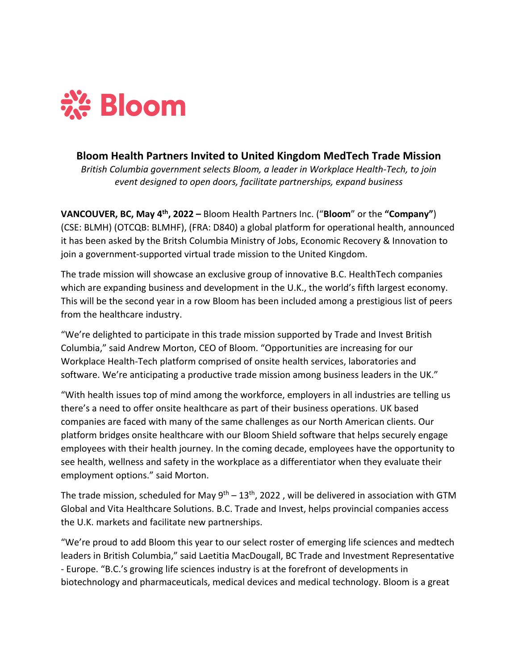

## **Bloom Health Partners Invited to United Kingdom MedTech Trade Mission**

*British Columbia government selects Bloom, a leader in Workplace Health-Tech, to join event designed to open doors, facilitate partnerships, expand business*

**VANCOUVER, BC, May 4th, 2022 –** Bloom Health Partners Inc. ("**Bloom**" or the **"Company"**) (CSE: BLMH) (OTCQB: BLMHF), (FRA: D840) a global platform for operational health, announced it has been asked by the Britsh Columbia Ministry of Jobs, Economic Recovery & Innovation to join a government-supported virtual trade mission to the United Kingdom.

The trade mission will showcase an exclusive group of innovative B.C. HealthTech companies which are expanding business and development in the U.K., the world's fifth largest economy. This will be the second year in a row Bloom has been included among a prestigious list of peers from the healthcare industry.

"We're delighted to participate in this trade mission supported by Trade and Invest British Columbia," said Andrew Morton, CEO of Bloom. "Opportunities are increasing for our Workplace Health-Tech platform comprised of onsite health services, laboratories and software. We're anticipating a productive trade mission among business leaders in the UK."

"With health issues top of mind among the workforce, employers in all industries are telling us there's a need to offer onsite healthcare as part of their business operations. UK based companies are faced with many of the same challenges as our North American clients. Our platform bridges onsite healthcare with our Bloom Shield software that helps securely engage employees with their health journey. In the coming decade, employees have the opportunity to see health, wellness and safety in the workplace as a differentiator when they evaluate their employment options." said Morton.

The trade mission, scheduled for May  $9<sup>th</sup> - 13<sup>th</sup>$ , 2022, will be delivered in association with GTM Global and Vita Healthcare Solutions. B.C. Trade and Invest, helps provincial companies access the U.K. markets and facilitate new partnerships.

"We're proud to add Bloom this year to our select roster of emerging life sciences and medtech leaders in British Columbia," said Laetitia MacDougall, BC Trade and Investment Representative - Europe. "B.C.'s growing life sciences industry is at the forefront of developments in biotechnology and pharmaceuticals, medical devices and medical technology. Bloom is a great